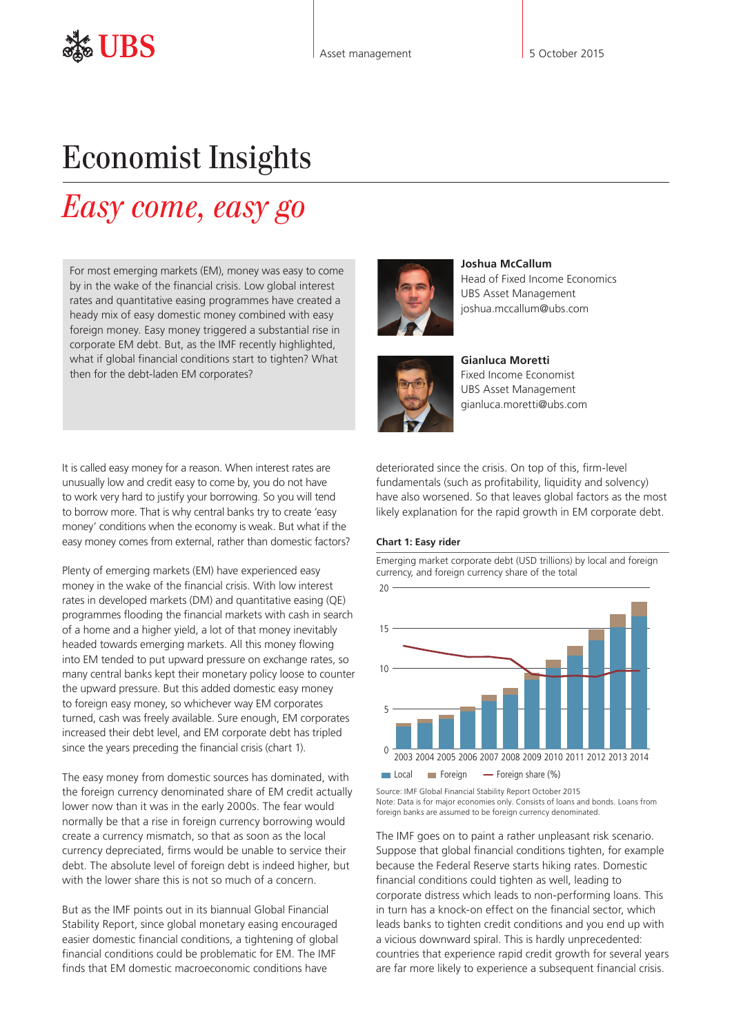# Economist Insights

# *Easy come, easy go*

For most emerging markets (EM), money was easy to come by in the wake of the financial crisis. Low global interest rates and quantitative easing programmes have created a heady mix of easy domestic money combined with easy foreign money. Easy money triggered a substantial rise in corporate EM debt. But, as the IMF recently highlighted, what if global financial conditions start to tighten? What then for the debt-laden EM corporates?

It is called easy money for a reason. When interest rates are unusually low and credit easy to come by, you do not have to work very hard to justify your borrowing. So you will tend to borrow more. That is why central banks try to create 'easy money' conditions when the economy is weak. But what if the easy money comes from external, rather than domestic factors?

Plenty of emerging markets (EM) have experienced easy money in the wake of the financial crisis. With low interest rates in developed markets (DM) and quantitative easing (QE) programmes flooding the financial markets with cash in search of a home and a higher yield, a lot of that money inevitably headed towards emerging markets. All this money flowing into EM tended to put upward pressure on exchange rates, so many central banks kept their monetary policy loose to counter the upward pressure. But this added domestic easy money to foreign easy money, so whichever way EM corporates turned, cash was freely available. Sure enough, EM corporates increased their debt level, and EM corporate debt has tripled since the years preceding the financial crisis (chart 1).

The easy money from domestic sources has dominated, with the foreign currency denominated share of EM credit actually lower now than it was in the early 2000s. The fear would normally be that a rise in foreign currency borrowing would create a currency mismatch, so that as soon as the local currency depreciated, firms would be unable to service their debt. The absolute level of foreign debt is indeed higher, but with the lower share this is not so much of a concern.

But as the IMF points out in its biannual Global Financial Stability Report, since global monetary easing encouraged easier domestic financial conditions, a tightening of global financial conditions could be problematic for EM. The IMF finds that EM domestic macroeconomic conditions have





Head of Fixed Income Economics

**Joshua McCallum**



**Gianluca Moretti**  Fixed Income Economist UBS Asset Management gianluca.moretti@ubs.com

deteriorated since the crisis. On top of this, firm-level fundamentals (such as profitability, liquidity and solvency) have also worsened. So that leaves global factors as the most likely explanation for the rapid growth in EM corporate debt.

### **Chart 1: Easy rider**

Emerging market corporate debt (USD trillions) by local and foreign currency, and foreign currency share of the total  $\Omega$ 5 10 15  $20$ 2003 2004 2005 2006 2007 2008 2009 2010 2011 2012 2013 2014

 $\Box$  Local  $\Box$  Foreign  $\Box$  Foreign share (%)

Source: IMF Global Financial Stability Report October 2015 Note: Data is for major economies only. Consists of loans and bonds. Loans from foreign banks are assumed to be foreign currency denominated.

The IMF goes on to paint a rather unpleasant risk scenario. Suppose that global financial conditions tighten, for example because the Federal Reserve starts hiking rates. Domestic financial conditions could tighten as well, leading to corporate distress which leads to non-performing loans. This in turn has a knock-on effect on the financial sector, which leads banks to tighten credit conditions and you end up with a vicious downward spiral. This is hardly unprecedented: countries that experience rapid credit growth for several years are far more likely to experience a subsequent financial crisis.